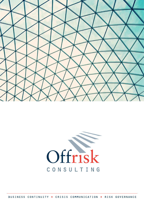



BUSINESS CONTINUITY . CRISIS COMMUNICATION . RISK GOVERNANCE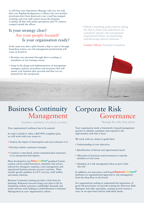A call from your Operations Manager tells you: not only that your flagship headquarters is ablaze, but your product prototypes have been destroyed; your e-mail has stopped working; and your staff cannot access the premises. Combine all that with media speculation and TV cameras camped outside the offices.

#### Is your strategy clear? Are your people focused? Is your organisation ready?

In the same way that a pilot boards a ship to steer it through hazardous waters, our risk management professionals will come on board to:

- Develop your personnel through direct coaching or attendance at our training courses
- Assist in the design and implementation of management strategies, policies, procedures and structures that will ensure your business plan succeeds and that you are prepared for the unexpected.

"Offrisk Consulting prides itself in taking the time to listen and understand our customers' specific risk management requirements before recommending and delivering tailored solutions."

Graham Offord, Principal Consultant

# Business Continuity Management

Seamless continuity of critical activities

Your organisation's resilience has to be assured.

In order to build or refine a BS25999-compliant plan, we will work with your teams to:

- Analyse the impact of interruption and your tolerance to it
- Develop realistic continuity strategies
- Construct a time-lined, action-orientated plan responsive to an unexpected interruption.

Plans developed in our **RecoveryFlow**® graphical format contain colour-coded flowcharts, checklists and actions tailored for emergency response, crisis management and operational business process recovery activities. Plans include specific guidance for ICT recovery, staff welfare and media relations.

Business Continuity training provides a firm basis for planning. Rehearsal exercises bring your plan to life by simulating realistic scenarios, stakeholder demands and media interest, truly helping to embed Business Continuity Management in your organisation's culture.

## Corporate Risk Governance

Manage the risks that matter

Your organisation needs a framework of good management practice to identify, assimilate and respond to the opportunities and risks it faces.

We work with our clients to guide their:

- Understanding of core objectives
- Identification of threats and opportunities faced
- Allocation of practical control measures to specific members of your team
- Adoption of a risk management ethos as part of the 'day job.'

In addition, our innovative, web-based **Balanced RiskCard**® facilitates an organisational approach to risk management from the shop floor to the board.

For organisations seeking to understand the importance of good risk governance we provide training for Directors, Risk Managers and other specialists, running several courses a year; on an open basis and for individual clients.